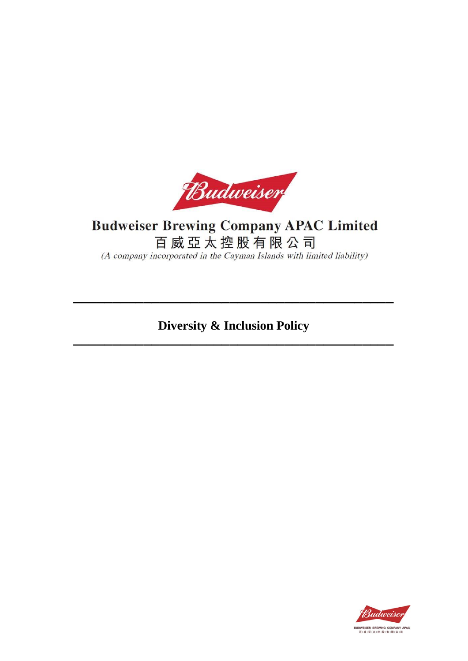

# **Budweiser Brewing Company APAC Limited** 百威亞太控股有限公司

(A company incorporated in the Cayman Islands with limited liability)

**Diversity & Inclusion Policy** 

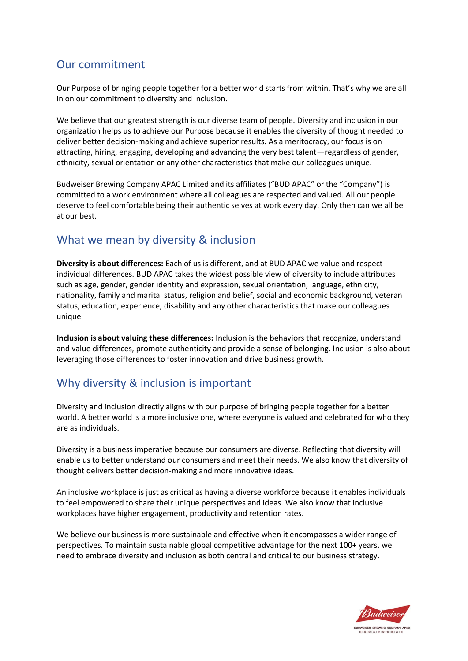#### Our commitment

Our Purpose of bringing people together for a better world starts from within. That's why we are all in on our commitment to diversity and inclusion.

We believe that our greatest strength is our diverse team of people. Diversity and inclusion in our organization helps us to achieve our Purpose because it enables the diversity of thought needed to deliver better decision-making and achieve superior results. As a meritocracy, our focus is on attracting, hiring, engaging, developing and advancing the very best talent—regardless of gender, ethnicity, sexual orientation or any other characteristics that make our colleagues unique.

Budweiser Brewing Company APAC Limited and its affiliates ("BUD APAC" or the "Company") is committed to a work environment where all colleagues are respected and valued. All our people deserve to feel comfortable being their authentic selves at work every day. Only then can we all be at our best.

#### What we mean by diversity & inclusion

**Diversity is about differences:** Each of us is different, and at BUD APAC we value and respect individual differences. BUD APAC takes the widest possible view of diversity to include attributes such as age, gender, gender identity and expression, sexual orientation, language, ethnicity, nationality, family and marital status, religion and belief, social and economic background, veteran status, education, experience, disability and any other characteristics that make our colleagues unique

**Inclusion is about valuing these differences:** Inclusion is the behaviors that recognize, understand and value differences, promote authenticity and provide a sense of belonging. Inclusion is also about leveraging those differences to foster innovation and drive business growth.

# Why diversity & inclusion is important

Diversity and inclusion directly aligns with our purpose of bringing people together for a better world. A better world is a more inclusive one, where everyone is valued and celebrated for who they are as individuals.

Diversity is a business imperative because our consumers are diverse. Reflecting that diversity will enable us to better understand our consumers and meet their needs. We also know that diversity of thought delivers better decision-making and more innovative ideas.

An inclusive workplace is just as critical as having a diverse workforce because it enables individuals to feel empowered to share their unique perspectives and ideas. We also know that inclusive workplaces have higher engagement, productivity and retention rates.

We believe our business is more sustainable and effective when it encompasses a wider range of perspectives. To maintain sustainable global competitive advantage for the next 100+ years, we need to embrace diversity and inclusion as both central and critical to our business strategy.

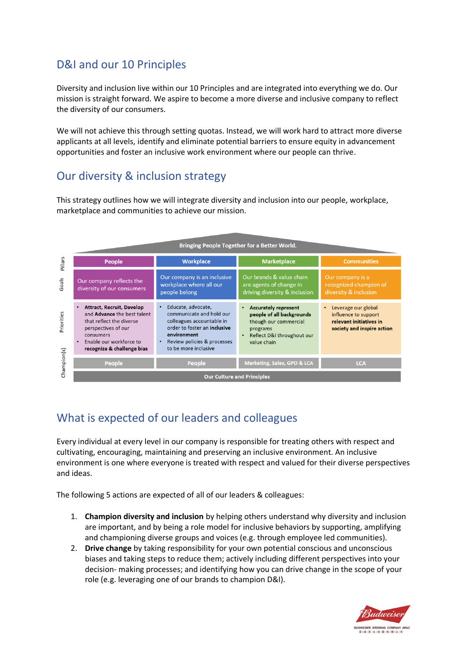# D&I and our 10 Principles

Diversity and inclusion live within our 10 Principles and are integrated into everything we do. Our mission is straight forward. We aspire to become a more diverse and inclusive company to reflect the diversity of our consumers.

We will not achieve this through setting quotas. Instead, we will work hard to attract more diverse applicants at all levels, identify and eliminate potential barriers to ensure equity in advancement opportunities and foster an inclusive work environment where our people can thrive.

# Our diversity & inclusion strategy

This strategy outlines how we will integrate diversity and inclusion into our people, workplace, marketplace and communities to achieve our mission.

|             |                                                                                                                                                                                                                           | Bringing People Together for a Better World.                                                                                                                                                                |                                                                                                                                            |                                                                                                      |
|-------------|---------------------------------------------------------------------------------------------------------------------------------------------------------------------------------------------------------------------------|-------------------------------------------------------------------------------------------------------------------------------------------------------------------------------------------------------------|--------------------------------------------------------------------------------------------------------------------------------------------|------------------------------------------------------------------------------------------------------|
| Pillars     | <b>People</b>                                                                                                                                                                                                             | <b>Workplace</b>                                                                                                                                                                                            | <b>Marketplace</b>                                                                                                                         | <b>Communities</b>                                                                                   |
| Goals       | Our company reflects the<br>diversity of our consumers                                                                                                                                                                    | Our company is an inclusive<br>workplace where all our<br>people belong                                                                                                                                     | Our brands & value chain<br>are agents of change in<br>driving diversity & inclusion                                                       | Our company is a<br>recognized champion of<br>diversity & inclusion                                  |
| Priorities  | <b>Attract, Recruit, Develop</b><br>$\bullet$<br>and <b>Advance</b> the best talent<br>that reflect the diverse<br>perspectives of our<br>consumers<br>Enable our workforce to<br>$\bullet$<br>recognize & challenge bias | Educate, advocate,<br>$\bullet$<br>communicate and hold our<br>colleagues accountable in<br>order to foster an inclusive<br>environment<br>Review policies & processes<br>$\bullet$<br>to be more inclusive | <b>Accurately represent</b><br>people of all backgrounds<br>though our commercial<br>programs<br>Reflect D&I throughout our<br>value chain | Leverage our global<br>influence to support<br>relevant initiatives in<br>society and inspire action |
| Champion(s) | People                                                                                                                                                                                                                    | People                                                                                                                                                                                                      | Marketing, Sales, GPO & LCA                                                                                                                | <b>LCA</b>                                                                                           |
|             | <b>Our Culture and Principles</b>                                                                                                                                                                                         |                                                                                                                                                                                                             |                                                                                                                                            |                                                                                                      |

# What is expected of our leaders and colleagues

Every individual at every level in our company is responsible for treating others with respect and cultivating, encouraging, maintaining and preserving an inclusive environment. An inclusive environment is one where everyone is treated with respect and valued for their diverse perspectives and ideas.

The following 5 actions are expected of all of our leaders & colleagues:

- 1. **Champion diversity and inclusion** by helping others understand why diversity and inclusion are important, and by being a role model for inclusive behaviors by supporting, amplifying and championing diverse groups and voices (e.g. through employee led communities).
- 2. **Drive change** by taking responsibility for your own potential conscious and unconscious biases and taking steps to reduce them; actively including different perspectives into your decision- making processes; and identifying how you can drive change in the scope of your role (e.g. leveraging one of our brands to champion D&I).

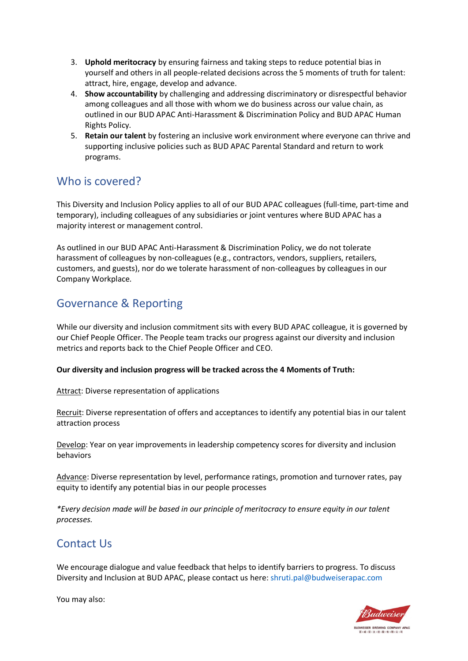- 3. **Uphold meritocracy** by ensuring fairness and taking steps to reduce potential bias in yourself and others in all people-related decisions across the 5 moments of truth for talent: attract, hire, engage, develop and advance.
- 4. **Show accountability** by challenging and addressing discriminatory or disrespectful behavior among colleagues and all those with whom we do business across our value chain, as outlined in our BUD APAC Anti-Harassment & Discrimination Policy and BUD APAC Human Rights Policy.
- 5. **Retain our talent** by fostering an inclusive work environment where everyone can thrive and supporting inclusive policies such as BUD APAC Parental Standard and return to work programs.

#### Who is covered?

This Diversity and Inclusion Policy applies to all of our BUD APAC colleagues (full-time, part-time and temporary), including colleagues of any subsidiaries or joint ventures where BUD APAC has a majority interest or management control.

As outlined in our BUD APAC Anti-Harassment & Discrimination Policy, we do not tolerate harassment of colleagues by non-colleagues (e.g., contractors, vendors, suppliers, retailers, customers, and guests), nor do we tolerate harassment of non-colleagues by colleagues in our Company Workplace.

# Governance & Reporting

While our diversity and inclusion commitment sits with every BUD APAC colleague, it is governed by our Chief People Officer. The People team tracks our progress against our diversity and inclusion metrics and reports back to the Chief People Officer and CEO.

#### **Our diversity and inclusion progress will be tracked across the 4 Moments of Truth:**

Attract: Diverse representation of applications

Recruit: Diverse representation of offers and acceptances to identify any potential bias in our talent attraction process

Develop: Year on year improvements in leadership competency scores for diversity and inclusion behaviors

Advance: Diverse representation by level, performance ratings, promotion and turnover rates, pay equity to identify any potential bias in our people processes

*\*Every decision made will be based in our principle of meritocracy to ensure equity in our talent processes.* 

#### Contact Us

We encourage dialogue and value feedback that helps to identify barriers to progress. To discuss Diversity and Inclusion at BUD APAC, please contact us here: shruti.pal@budweiserapac.com

You may also: